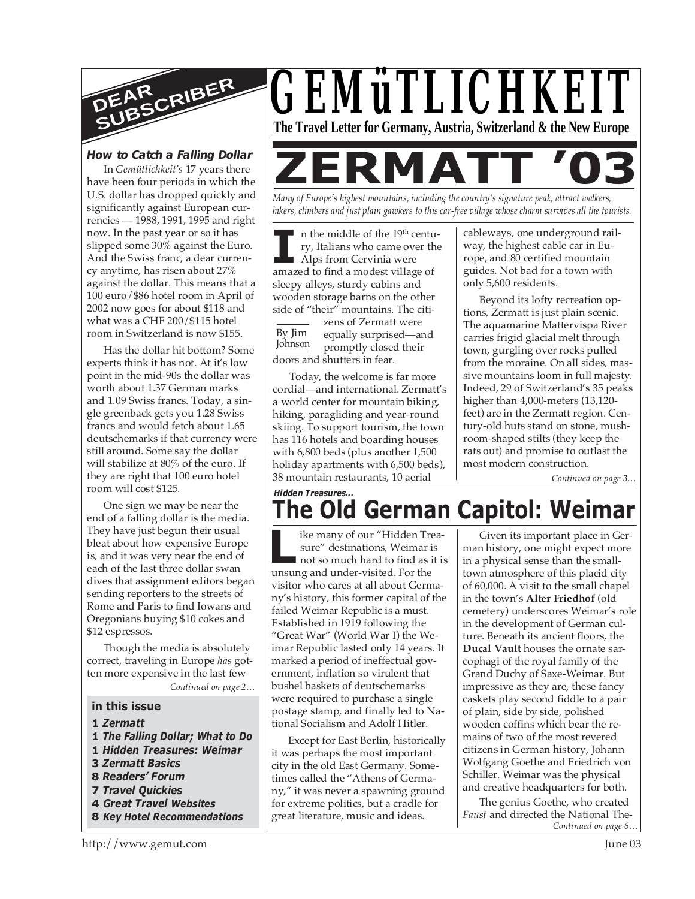

# **How to Catch a Falling Dollar**

In *Gemütlichkeit's* 17 years there have been four periods in which the U.S. dollar has dropped quickly and significantly against European currencies — 1988, 1991, 1995 and right now. In the past year or so it has slipped some 30% against the Euro. And the Swiss franc, a dear currency anytime, has risen about 27% against the dollar. This means that a 100 euro/\$86 hotel room in April of 2002 now goes for about \$118 and what was a CHF 200/\$115 hotel room in Switzerland is now \$155.

Has the dollar hit bottom? Some experts think it has not. At it's low point in the mid-90s the dollar was worth about 1.37 German marks and 1.09 Swiss francs. Today, a single greenback gets you 1.28 Swiss francs and would fetch about 1.65 deutschemarks if that currency were still around. Some say the dollar will stabilize at 80% of the euro. If they are right that 100 euro hotel room will cost \$125.

One sign we may be near the end of a falling dollar is the media. They have just begun their usual bleat about how expensive Europe is, and it was very near the end of each of the last three dollar swan dives that assignment editors began sending reporters to the streets of Rome and Paris to find Iowans and Oregonians buying \$10 cokes and \$12 espressos.

Though the media is absolutely correct, traveling in Europe *has* gotten more expensive in the last few

*Continued on page 2…*

#### **in this issue**

- **1** *Zermatt*
- **1** *The Falling Dollar; What to Do*
- **1** *Hidden Treasures: Weimar*
- **3** *Zermatt Basics*
- **8** *Readers' Forum*
- **7** *Travel Quickies*
- **4** *Great Travel Websites*
- **8** *Key Hotel Recommendations*



*Many of Europe's highest mountains, including the country's signature peak, attract walkers, hikers, climbers and just plain gawkers to this car-free village whose charm survives all the tourists.*

II is the middle of the 19<sup>th</sup> century, Italians who came over the Alps from Cervinia were amazed to find a modest village of n the middle of the 19th century, Italians who came over the Alps from Cervinia were sleepy alleys, sturdy cabins and wooden storage barns on the other side of "their" mountains. The citi-

By Jim Johnson zens of Zermatt were equally surprised—and promptly closed their doors and shutters in fear.

Today, the welcome is far more cordial—and international. Zermatt's a world center for mountain biking, hiking, paragliding and year-round skiing. To support tourism, the town has 116 hotels and boarding houses with 6,800 beds (plus another 1,500 holiday apartments with 6,500 beds), 38 mountain restaurants, 10 aerial

cableways, one underground railway, the highest cable car in Europe, and 80 certified mountain guides. Not bad for a town with only 5,600 residents.

Beyond its lofty recreation options, Zermatt is just plain scenic. The aquamarine Mattervispa River carries frigid glacial melt through town, gurgling over rocks pulled from the moraine. On all sides, massive mountains loom in full majesty. Indeed, 29 of Switzerland's 35 peaks higher than 4,000-meters (13,120 feet) are in the Zermatt region. Century-old huts stand on stone, mushroom-shaped stilts (they keep the rats out) and promise to outlast the most modern construction.

*Continued on page 3…*

# *Hidden Treasures...* **The Old German Capitol: Weimar**

**Latter and Solution School of the Sure"** destinations, Weimar is<br>not so much hard to find as unsung and under-visited. For the ike many of our "Hidden Treasure" destinations, Weimar is not so much hard to find as it is visitor who cares at all about Germany's history, this former capital of the failed Weimar Republic is a must. Established in 1919 following the "Great War" (World War I) the Weimar Republic lasted only 14 years. It marked a period of ineffectual government, inflation so virulent that bushel baskets of deutschemarks were required to purchase a single postage stamp, and finally led to National Socialism and Adolf Hitler.

Except for East Berlin, historically it was perhaps the most important city in the old East Germany. Sometimes called the "Athens of Germany," it was never a spawning ground for extreme politics, but a cradle for great literature, music and ideas.

Given its important place in German history, one might expect more in a physical sense than the smalltown atmosphere of this placid city of 60,000. A visit to the small chapel in the town's **Alter Friedhof** (old cemetery) underscores Weimar's role in the development of German culture. Beneath its ancient floors, the **Ducal Vault** houses the ornate sarcophagi of the royal family of the Grand Duchy of Saxe-Weimar. But impressive as they are, these fancy caskets play second fiddle to a pair of plain, side by side, polished wooden coffins which bear the remains of two of the most revered citizens in German history, Johann Wolfgang Goethe and Friedrich von Schiller. Weimar was the physical and creative headquarters for both.

*Continued on page 6…* The genius Goethe, who created *Faust* and directed the National The-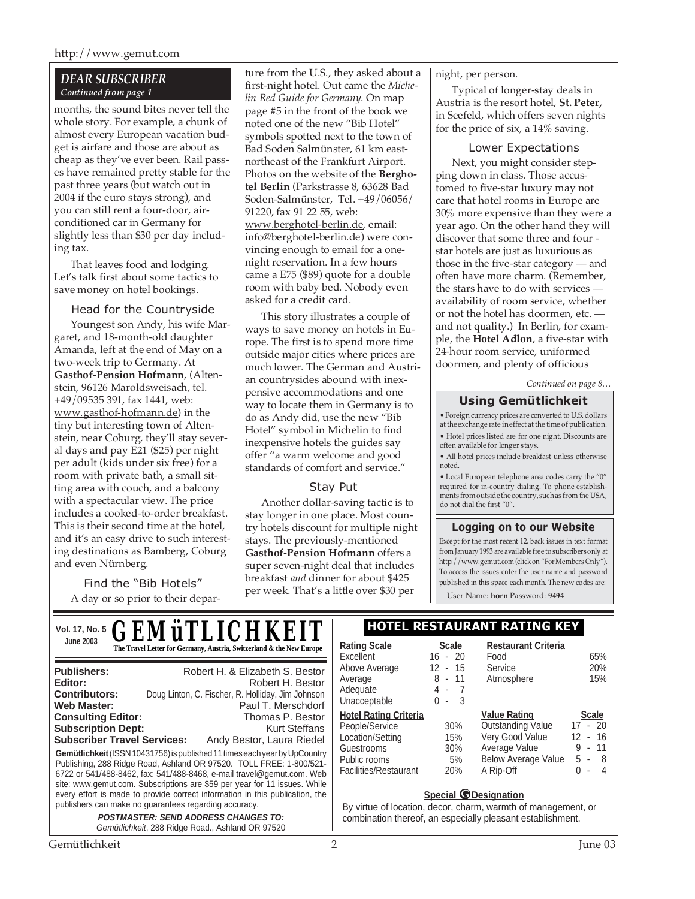#### http://www.gemut.com

### *DEAR SUBSCRIBER Continued from page 1*

months, the sound bites never tell the whole story. For example, a chunk of almost every European vacation budget is airfare and those are about as cheap as they've ever been. Rail passes have remained pretty stable for the past three years (but watch out in 2004 if the euro stays strong), and you can still rent a four-door, airconditioned car in Germany for slightly less than \$30 per day including tax.

That leaves food and lodging. Let's talk first about some tactics to save money on hotel bookings.

#### Head for the Countryside

Youngest son Andy, his wife Margaret, and 18-month-old daughter Amanda, left at the end of May on a two-week trip to Germany. At **Gasthof-Pension Hofmann**, (Altenstein, 96126 Maroldsweisach, tel. +49/09535 391, fax 1441, web: www.gasthof-hofmann.de) in the tiny but interesting town of Altenstein, near Coburg, they'll stay several days and pay E21 (\$25) per night per adult (kids under six free) for a room with private bath, a small sitting area with couch, and a balcony with a spectacular view. The price includes a cooked-to-order breakfast. This is their second time at the hotel, and it's an easy drive to such interesting destinations as Bamberg, Coburg and even Nürnberg.

Find the "Bib Hotels" A day or so prior to their depar-

ture from the U.S., they asked about a first-night hotel. Out came the *Michelin Red Guide for Germany*. On map page #5 in the front of the book we noted one of the new "Bib Hotel" symbols spotted next to the town of Bad Soden Salmünster, 61 km eastnortheast of the Frankfurt Airport. Photos on the website of the **Berghotel Berlin** (Parkstrasse 8, 63628 Bad Soden-Salmünster, Tel. +49/06056/ 91220, fax 91 22 55, web: www.berghotel-berlin.de, email: info@berghotel-berlin.de) were convincing enough to email for a onenight reservation. In a few hours came a E75 (\$89) quote for a double room with baby bed. Nobody even asked for a credit card.

This story illustrates a couple of ways to save money on hotels in Europe. The first is to spend more time outside major cities where prices are much lower. The German and Austrian countrysides abound with inexpensive accommodations and one way to locate them in Germany is to do as Andy did, use the new "Bib Hotel" symbol in Michelin to find inexpensive hotels the guides say offer "a warm welcome and good standards of comfort and service."

#### Stay Put

Another dollar-saving tactic is to stay longer in one place. Most country hotels discount for multiple night stays. The previously-mentioned **Gasthof-Pension Hofmann** offers a super seven-night deal that includes breakfast *and* dinner for about \$425 per week. That's a little over \$30 per

night, per person.

Typical of longer-stay deals in Austria is the resort hotel, **St. Peter,** in Seefeld, which offers seven nights for the price of six, a 14% saving.

#### Lower Expectations

Next, you might consider stepping down in class. Those accustomed to five-star luxury may not care that hotel rooms in Europe are 30% more expensive than they were a year ago. On the other hand they will discover that some three and four star hotels are just as luxurious as those in the five-star category — and often have more charm. (Remember, the stars have to do with services availability of room service, whether or not the hotel has doormen, etc. and not quality.) In Berlin, for example, the **Hotel Adlon**, a five-star with 24-hour room service, uniformed doormen, and plenty of officious

*Continued on page 8…*

# **Using Gemütlichkeit**

• Foreign currency prices are converted to U.S. dollars at the exchange rate in effect at the time of publication. • Hotel prices listed are for one night. Discounts are often available for longer stays.

• All hotel prices include breakfast unless otherwise noted.

• Local European telephone area codes carry the "0" required for in-country dialing. To phone establishments from outside the country, such as from the USA, do not dial the first "0".

# **Logging on to our Website**

Except for the most recent 12, back issues in text format from January 1993 are available free to subscribers only at http://www.gemut.com (click on "For Members Only"). To access the issues enter the user name and password published in this space each month. The new codes are:

User Name: **horn** Password: **9494**

| Vol. 17, No. 5 <b>GEMÜTLICHKEIT</b>                                                                                                                                                                                                                                                                                                                                                                                                                                                                                                                                                                                                                                                                                          |                                                                                                                                                            | <b>HOTEL RESTAURANT RATING KEY</b>                   |                                                                                                                         |                                                                                                                              |            |
|------------------------------------------------------------------------------------------------------------------------------------------------------------------------------------------------------------------------------------------------------------------------------------------------------------------------------------------------------------------------------------------------------------------------------------------------------------------------------------------------------------------------------------------------------------------------------------------------------------------------------------------------------------------------------------------------------------------------------|------------------------------------------------------------------------------------------------------------------------------------------------------------|------------------------------------------------------|-------------------------------------------------------------------------------------------------------------------------|------------------------------------------------------------------------------------------------------------------------------|------------|
| <b>June 2003</b><br>The Travel Letter for Germany, Austria, Switzerland & the New Europe                                                                                                                                                                                                                                                                                                                                                                                                                                                                                                                                                                                                                                     |                                                                                                                                                            | <b>Rating Scale</b><br>Excellent                     | <b>Scale</b><br>$16 - 20$                                                                                               | <b>Restaurant Criteria</b><br>Food                                                                                           | 65%        |
| <b>Publishers:</b><br>Editor:<br><b>Contributors:</b><br><b>Web Master:</b>                                                                                                                                                                                                                                                                                                                                                                                                                                                                                                                                                                                                                                                  | Robert H. & Elizabeth S. Bestor<br>Robert H. Bestor<br>Doug Linton, C. Fischer, R. Holliday, Jim Johnson<br>Paul T. Merschdorf                             | Above Average<br>Average<br>Adequate<br>Unacceptable | $12 - 15$<br>$8 - 11$<br>4 -<br>-3<br>0<br>$\sim$                                                                       | Service<br>Atmosphere                                                                                                        | 20%<br>15% |
| <b>Consulting Editor:</b><br>Thomas P. Bestor<br><b>Subscription Dept:</b><br><b>Kurt Steffans</b><br><b>Subscriber Travel Services:</b><br>Andy Bestor, Laura Riedel<br>Gemütlichkeit (ISSN 10431756) is published 11 times each year by UpCountry<br>Publishing, 288 Ridge Road, Ashland OR 97520. TOLL FREE: 1-800/521-<br>6722 or 541/488-8462, fax: 541/488-8468, e-mail travel@gemut.com. Web<br>site: www.gemut.com. Subscriptions are \$59 per year for 11 issues. While<br>every effort is made to provide correct information in this publication, the<br>publishers can make no guarantees regarding accuracy.<br><b>POSTMASTER: SEND ADDRESS CHANGES TO:</b><br>Gemütlichkeit, 288 Ridge Road., Ashland OR 97520 | <b>Hotel Rating Criteria</b><br>People/Service<br>Location/Setting<br>Guestrooms<br>Public rooms<br>Facilities/Restaurant                                  | 30%<br>15%<br>30%<br>5%<br><b>20%</b>                | <b>Value Rating</b><br><b>Outstanding Value</b><br>Very Good Value<br>Average Value<br>Below Average Value<br>A Rip-Off | <b>Scale</b><br>$17 - 20$<br>$12 \overline{ }$<br>- 16<br>11<br>9<br>$\sim$<br>$5 - 8$<br>Δ<br>0<br>$\overline{\phantom{a}}$ |            |
|                                                                                                                                                                                                                                                                                                                                                                                                                                                                                                                                                                                                                                                                                                                              | <b>Special @Designation</b><br>By virtue of location, decor, charm, warmth of management, or<br>combination thereof, an especially pleasant establishment. |                                                      |                                                                                                                         |                                                                                                                              |            |
| Gemütlichkeit                                                                                                                                                                                                                                                                                                                                                                                                                                                                                                                                                                                                                                                                                                                |                                                                                                                                                            | 2                                                    |                                                                                                                         |                                                                                                                              | June 03    |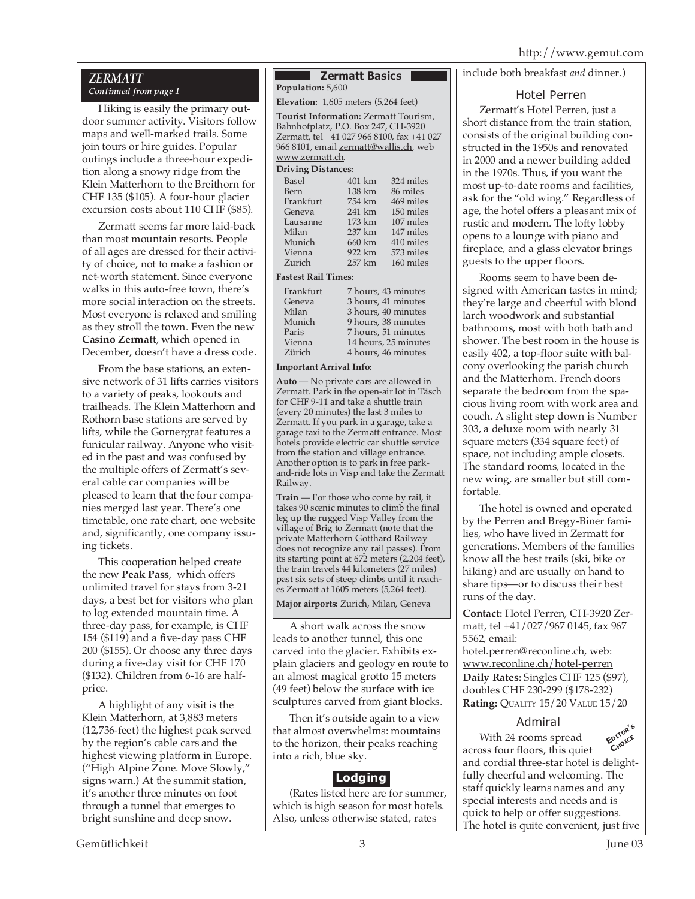### *ZERMATT Continued from page 1*

Hiking is easily the primary outdoor summer activity. Visitors follow maps and well-marked trails. Some join tours or hire guides. Popular outings include a three-hour expedition along a snowy ridge from the Klein Matterhorn to the Breithorn for CHF 135 (\$105). A four-hour glacier excursion costs about 110 CHF (\$85).

Zermatt seems far more laid-back than most mountain resorts. People of all ages are dressed for their activity of choice, not to make a fashion or net-worth statement. Since everyone walks in this auto-free town, there's more social interaction on the streets. Most everyone is relaxed and smiling as they stroll the town. Even the new **Casino Zermatt**, which opened in December, doesn't have a dress code.

From the base stations, an extensive network of 31 lifts carries visitors to a variety of peaks, lookouts and trailheads. The Klein Matterhorn and Rothorn base stations are served by lifts, while the Gornergrat features a funicular railway. Anyone who visited in the past and was confused by the multiple offers of Zermatt's several cable car companies will be pleased to learn that the four companies merged last year. There's one timetable, one rate chart, one website and, significantly, one company issuing tickets.

This cooperation helped create the new **Peak Pass**, which offers unlimited travel for stays from 3-21 days, a best bet for visitors who plan to log extended mountain time. A three-day pass, for example, is CHF 154 (\$119) and a five-day pass CHF 200 (\$155). Or choose any three days during a five-day visit for CHF 170 (\$132). Children from 6-16 are halfprice.

A highlight of any visit is the Klein Matterhorn, at 3,883 meters (12,736-feet) the highest peak served by the region's cable cars and the highest viewing platform in Europe. ("High Alpine Zone. Move Slowly," signs warn.) At the summit station, it's another three minutes on foot through a tunnel that emerges to bright sunshine and deep snow.

#### **Zermatt Basics Population:** 5,600

**Elevation:** 1,605 meters (5,264 feet)

**Tourist Information:** Zermatt Tourism, Bahnhofplatz, P.O. Box 247, CH-3920 Zermatt, tel +41 027 966 8100, fax +41 027 966 8101, email zermatt@wallis.ch, web www.zermatt.ch.

#### **Driving Distances:**

| Basel     | 401 km | 324 miles |
|-----------|--------|-----------|
| Bern      | 138 km | 86 miles  |
| Frankfurt | 754 km | 469 miles |
| Geneva    | 241 km | 150 miles |
| Lausanne  | 173 km | 107 miles |
| Milan     | 237 km | 147 miles |
| Munich    | 660 km | 410 miles |
| Vienna    | 922 km | 573 miles |
| Zurich    | 257 km | 160 miles |
|           |        |           |

#### **Fastest Rail Times:**

| Frankfurt | 7 hours, 43 minutes  |
|-----------|----------------------|
| Geneva    | 3 hours, 41 minutes  |
| Milan     | 3 hours, 40 minutes  |
| Munich    | 9 hours, 38 minutes  |
| Paris     | 7 hours, 51 minutes  |
| Vienna    | 14 hours, 25 minutes |
| Zürich    | 4 hours, 46 minutes  |

#### **Important Arrival Info:**

**Auto** — No private cars are allowed in Zermatt. Park in the open-air lot in Täsch for CHF 9-11 and take a shuttle train (every 20 minutes) the last 3 miles to Zermatt. If you park in a garage, take a garage taxi to the Zermatt entrance. Most hotels provide electric car shuttle service from the station and village entrance. Another option is to park in free parkand-ride lots in Visp and take the Zermatt Railway.

**Train** — For those who come by rail, it takes 90 scenic minutes to climb the final leg up the rugged Visp Valley from the village of Brig to Zermatt (note that the private Matterhorn Gotthard Railway does not recognize any rail passes). From its starting point at 672 meters (2,204 feet), the train travels 44 kilometers (27 miles) past six sets of steep climbs until it reaches Zermatt at 1605 meters (5,264 feet).

#### **Major airports:** Zurich, Milan, Geneva

A short walk across the snow leads to another tunnel, this one carved into the glacier. Exhibits explain glaciers and geology en route to an almost magical grotto 15 meters (49 feet) below the surface with ice sculptures carved from giant blocks.

Then it's outside again to a view that almost overwhelms: mountains to the horizon, their peaks reaching into a rich, blue sky.

# **Lodging**

(Rates listed here are for summer, which is high season for most hotels. Also, unless otherwise stated, rates

include both breakfast *and* dinner.)

### Hotel Perren

Zermatt's Hotel Perren, just a short distance from the train station, consists of the original building constructed in the 1950s and renovated in 2000 and a newer building added in the 1970s. Thus, if you want the most up-to-date rooms and facilities, ask for the "old wing." Regardless of age, the hotel offers a pleasant mix of rustic and modern. The lofty lobby opens to a lounge with piano and fireplace, and a glass elevator brings guests to the upper floors.

Rooms seem to have been designed with American tastes in mind; they're large and cheerful with blond larch woodwork and substantial bathrooms, most with both bath and shower. The best room in the house is easily 402, a top-floor suite with balcony overlooking the parish church and the Matterhorn. French doors separate the bedroom from the spacious living room with work area and couch. A slight step down is Number 303, a deluxe room with nearly 31 square meters (334 square feet) of space, not including ample closets. The standard rooms, located in the new wing, are smaller but still comfortable.

The hotel is owned and operated by the Perren and Bregy-Biner families, who have lived in Zermatt for generations. Members of the families know all the best trails (ski, bike or hiking) and are usually on hand to share tips—or to discuss their best runs of the day.

**Contact:** Hotel Perren, CH-3920 Zermatt, tel +41/027/967 0145, fax 967 5562, email:

hotel.perren@reconline.ch, web: www.reconline.ch/hotel-perren **Daily Rates:** Singles CHF 125 (\$97), doubles CHF 230-299 (\$178-232) **Rating:** QUALITY 15/20 VALUE 15/20

# Admiral



With 24 rooms spread across four floors, this quiet and cordial three-star hotel is delightfully cheerful and welcoming. The staff quickly learns names and any special interests and needs and is quick to help or offer suggestions. The hotel is quite convenient, just five **EDITOR'<sup>S</sup> CHOICE**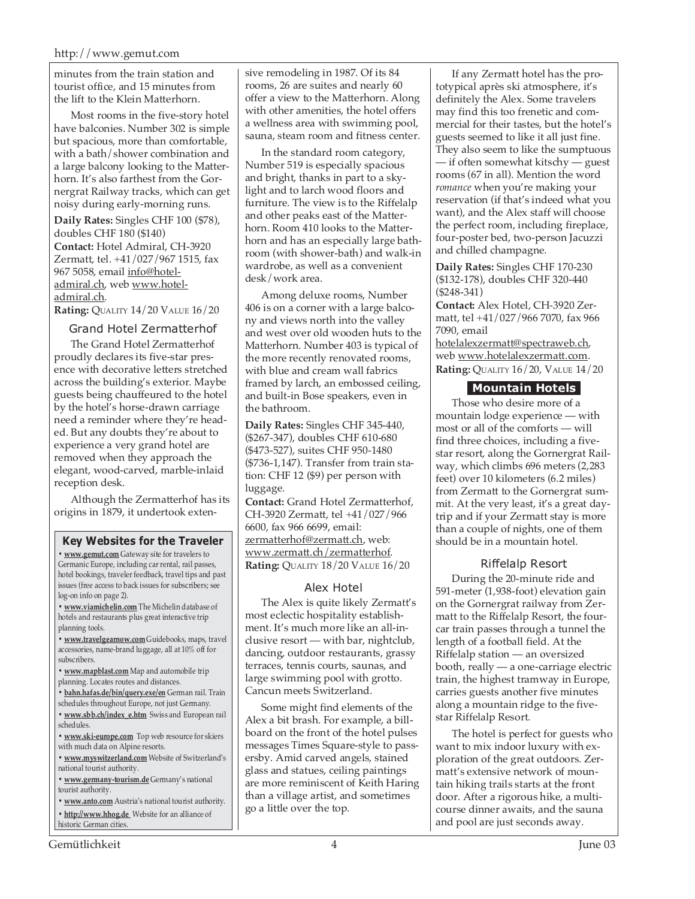minutes from the train station and tourist office, and 15 minutes from the lift to the Klein Matterhorn.

Most rooms in the five-story hotel have balconies. Number 302 is simple but spacious, more than comfortable, with a bath/shower combination and a large balcony looking to the Matterhorn. It's also farthest from the Gornergrat Railway tracks, which can get noisy during early-morning runs.

**Daily Rates:** Singles CHF 100 (\$78), doubles CHF 180 (\$140) **Contact:** Hotel Admiral, CH-3920 Zermatt, tel. +41/027/967 1515, fax 967 5058, email info@hoteladmiral.ch, web www.hoteladmiral.ch.

**Rating:** QUALITY 14/20 VALUE 16/20

Grand Hotel Zermatterhof

The Grand Hotel Zermatterhof proudly declares its five-star presence with decorative letters stretched across the building's exterior. Maybe guests being chauffeured to the hotel by the hotel's horse-drawn carriage need a reminder where they're headed. But any doubts they're about to experience a very grand hotel are removed when they approach the elegant, wood-carved, marble-inlaid reception desk.

Although the Zermatterhof has its origins in 1879, it undertook exten-

#### **Key Websites for the Traveler**

**• www.gemut.com** Gateway site for travelers to Germanic Europe, including car rental, rail passes, hotel bookings, traveler feedback, travel tips and past issues (free access to back issues for subscribers; see log-on info on page 2).

**• www.viamichelin.com** The Michelin database of hotels and restaurants plus great interactive trip planning tools.

**• www.travelgearnow.com** Guidebooks, maps, travel accessories, name-brand luggage, all at 10% off for subscribers.

**• www.mapblast.com** Map and automobile trip planning. Locates routes and distances.

**• bahn.hafas.de/bin/query.exe/en** German rail. Train schedules throughout Europe, not just Germany.

**• www.sbb.ch/index\_e.htm** Swiss and European rail schedules.

**• www.ski-europe.com** Top web resource for skiers with much data on Alpine resorts.

**• www.myswitzerland.com** Website of Switzerland's national tourist authority.

**• www.germany-tourism.de** Germany's national tourist authority.

**• www.anto.com** Austria's national tourist authority. **• http://www.hhog.de** Website for an alliance of historic German cities.

sive remodeling in 1987. Of its 84 rooms, 26 are suites and nearly 60 offer a view to the Matterhorn. Along with other amenities, the hotel offers a wellness area with swimming pool, sauna, steam room and fitness center.

In the standard room category, Number 519 is especially spacious and bright, thanks in part to a skylight and to larch wood floors and furniture. The view is to the Riffelalp and other peaks east of the Matterhorn. Room 410 looks to the Matterhorn and has an especially large bathroom (with shower-bath) and walk-in wardrobe, as well as a convenient desk/work area.

Among deluxe rooms, Number 406 is on a corner with a large balcony and views north into the valley and west over old wooden huts to the Matterhorn. Number 403 is typical of the more recently renovated rooms, with blue and cream wall fabrics framed by larch, an embossed ceiling, and built-in Bose speakers, even in the bathroom.

**Daily Rates:** Singles CHF 345-440, (\$267-347), doubles CHF 610-680 (\$473-527), suites CHF 950-1480 (\$736-1,147). Transfer from train station: CHF 12 (\$9) per person with luggage.

**Contact:** Grand Hotel Zermatterhof, CH-3920 Zermatt, tel +41/027/966 6600, fax 966 6699, email: zermatterhof@zermatt.ch, web: www.zermatt.ch/zermatterhof. **Rating:** QUALITY 18/20 VALUE 16/20

# Alex Hotel

The Alex is quite likely Zermatt's most eclectic hospitality establishment. It's much more like an all-inclusive resort — with bar, nightclub, dancing, outdoor restaurants, grassy terraces, tennis courts, saunas, and large swimming pool with grotto. Cancun meets Switzerland.

Some might find elements of the Alex a bit brash. For example, a billboard on the front of the hotel pulses messages Times Square-style to passersby. Amid carved angels, stained glass and statues, ceiling paintings are more reminiscent of Keith Haring than a village artist, and sometimes go a little over the top.

If any Zermatt hotel has the prototypical après ski atmosphere, it's definitely the Alex. Some travelers may find this too frenetic and commercial for their tastes, but the hotel's guests seemed to like it all just fine. They also seem to like the sumptuous — if often somewhat kitschy — guest rooms (67 in all). Mention the word *romance* when you're making your reservation (if that's indeed what you want), and the Alex staff will choose the perfect room, including fireplace, four-poster bed, two-person Jacuzzi and chilled champagne.

**Daily Rates:** Singles CHF 170-230 (\$132-178), doubles CHF 320-440 (\$248-341)

**Contact:** Alex Hotel, CH-3920 Zermatt, tel +41/027/966 7070, fax 966 7090, email hotelalexzermatt@spectraweb.ch, web www.hotelalexzermatt.com. **Rating:** QUALITY 16/20, VALUE 14/20

# **Mountain Hotels**

Those who desire more of a mountain lodge experience — with most or all of the comforts — will find three choices, including a fivestar resort, along the Gornergrat Railway, which climbs 696 meters (2,283 feet) over 10 kilometers (6.2 miles) from Zermatt to the Gornergrat summit. At the very least, it's a great daytrip and if your Zermatt stay is more than a couple of nights, one of them should be in a mountain hotel.

# Riffelalp Resort

During the 20-minute ride and 591-meter (1,938-foot) elevation gain on the Gornergrat railway from Zermatt to the Riffelalp Resort, the fourcar train passes through a tunnel the length of a football field. At the Riffelalp station — an oversized booth, really — a one-carriage electric train, the highest tramway in Europe, carries guests another five minutes along a mountain ridge to the fivestar Riffelalp Resort.

The hotel is perfect for guests who want to mix indoor luxury with exploration of the great outdoors. Zermatt's extensive network of mountain hiking trails starts at the front door. After a rigorous hike, a multicourse dinner awaits, and the sauna and pool are just seconds away.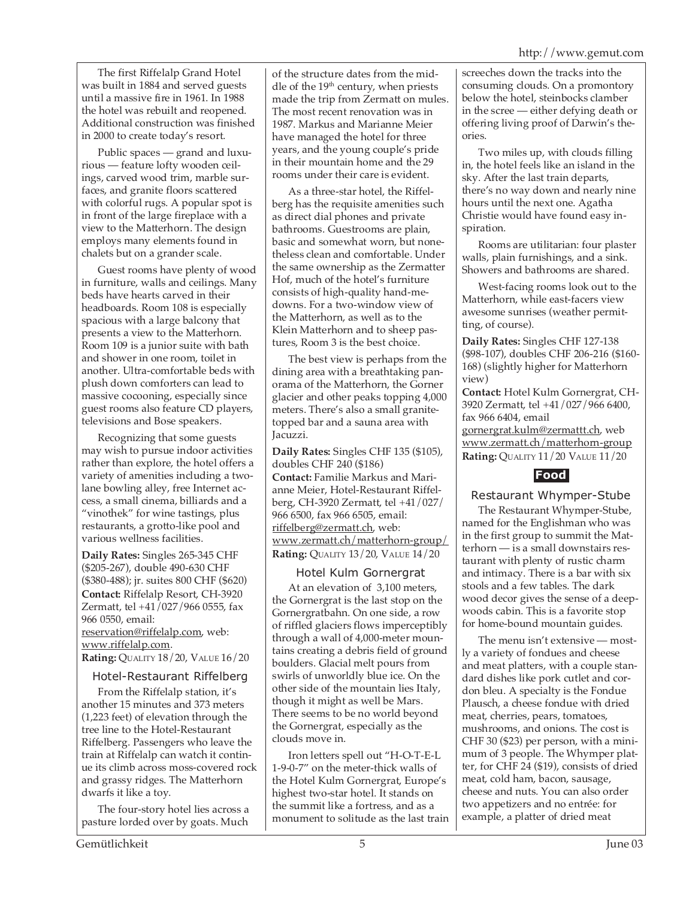The first Riffelalp Grand Hotel was built in 1884 and served guests until a massive fire in 1961. In 1988 the hotel was rebuilt and reopened. Additional construction was finished in 2000 to create today's resort.

Public spaces — grand and luxurious — feature lofty wooden ceilings, carved wood trim, marble surfaces, and granite floors scattered with colorful rugs. A popular spot is in front of the large fireplace with a view to the Matterhorn. The design employs many elements found in chalets but on a grander scale.

Guest rooms have plenty of wood in furniture, walls and ceilings. Many beds have hearts carved in their headboards. Room 108 is especially spacious with a large balcony that presents a view to the Matterhorn. Room 109 is a junior suite with bath and shower in one room, toilet in another. Ultra-comfortable beds with plush down comforters can lead to massive cocooning, especially since guest rooms also feature CD players, televisions and Bose speakers.

Recognizing that some guests may wish to pursue indoor activities rather than explore, the hotel offers a variety of amenities including a twolane bowling alley, free Internet access, a small cinema, billiards and a "vinothek" for wine tastings, plus restaurants, a grotto-like pool and various wellness facilities.

**Daily Rates:** Singles 265-345 CHF (\$205-267), double 490-630 CHF (\$380-488); jr. suites 800 CHF (\$620) **Contact:** Riffelalp Resort, CH-3920 Zermatt, tel +41/027/966 0555, fax 966 0550, email: reservation@riffelalp.com, web: www.riffelalp.com.

**Rating:** QUALITY 18/20, VALUE 16/20

# Hotel-Restaurant Riffelberg

From the Riffelalp station, it's another 15 minutes and 373 meters (1,223 feet) of elevation through the tree line to the Hotel-Restaurant Riffelberg. Passengers who leave the train at Riffelalp can watch it continue its climb across moss-covered rock and grassy ridges. The Matterhorn dwarfs it like a toy.

The four-story hotel lies across a pasture lorded over by goats. Much

of the structure dates from the middle of the  $19<sup>th</sup>$  century, when priests made the trip from Zermatt on mules. The most recent renovation was in 1987. Markus and Marianne Meier have managed the hotel for three years, and the young couple's pride in their mountain home and the 29 rooms under their care is evident.

As a three-star hotel, the Riffelberg has the requisite amenities such as direct dial phones and private bathrooms. Guestrooms are plain, basic and somewhat worn, but nonetheless clean and comfortable. Under the same ownership as the Zermatter Hof, much of the hotel's furniture consists of high-quality hand-medowns. For a two-window view of the Matterhorn, as well as to the Klein Matterhorn and to sheep pastures, Room 3 is the best choice.

The best view is perhaps from the dining area with a breathtaking panorama of the Matterhorn, the Gorner glacier and other peaks topping 4,000 meters. There's also a small granitetopped bar and a sauna area with Jacuzzi.

**Daily Rates:** Singles CHF 135 (\$105), doubles CHF 240 (\$186) **Contact:** Familie Markus and Marianne Meier, Hotel-Restaurant Riffelberg, CH-3920 Zermatt, tel +41/027/ 966 6500, fax 966 6505, email: riffelberg@zermatt.ch, web: www.zermatt.ch/matterhorn-group/ **Rating:** QUALITY 13/20, VALUE 14/20

# Hotel Kulm Gornergrat

At an elevation of 3,100 meters, the Gornergrat is the last stop on the Gornergratbahn. On one side, a row of riffled glaciers flows imperceptibly through a wall of 4,000-meter mountains creating a debris field of ground boulders. Glacial melt pours from swirls of unworldly blue ice. On the other side of the mountain lies Italy, though it might as well be Mars. There seems to be no world beyond the Gornergrat, especially as the clouds move in.

Iron letters spell out "H-O-T-E-L 1-9-0-7" on the meter-thick walls of the Hotel Kulm Gornergrat, Europe's highest two-star hotel. It stands on the summit like a fortress, and as a monument to solitude as the last train screeches down the tracks into the consuming clouds. On a promontory below the hotel, steinbocks clamber in the scree — either defying death or offering living proof of Darwin's theories.

Two miles up, with clouds filling in, the hotel feels like an island in the sky. After the last train departs, there's no way down and nearly nine hours until the next one. Agatha Christie would have found easy inspiration.

Rooms are utilitarian: four plaster walls, plain furnishings, and a sink. Showers and bathrooms are shared.

West-facing rooms look out to the Matterhorn, while east-facers view awesome sunrises (weather permitting, of course).

**Daily Rates:** Singles CHF 127-138 (\$98-107), doubles CHF 206-216 (\$160- 168) (slightly higher for Matterhorn view)

**Contact:** Hotel Kulm Gornergrat, CH-3920 Zermatt, tel +41/027/966 6400, fax 966 6404, email

gornergrat.kulm@zermattt.ch, web www.zermatt.ch/matterhorn-group **Rating:** QUALITY 11/20 VALUE 11/20



# Restaurant Whymper-Stube

The Restaurant Whymper-Stube, named for the Englishman who was in the first group to summit the Matterhorn — is a small downstairs restaurant with plenty of rustic charm and intimacy. There is a bar with six stools and a few tables. The dark wood decor gives the sense of a deepwoods cabin. This is a favorite stop for home-bound mountain guides.

The menu isn't extensive — mostly a variety of fondues and cheese and meat platters, with a couple standard dishes like pork cutlet and cordon bleu. A specialty is the Fondue Plausch, a cheese fondue with dried meat, cherries, pears, tomatoes, mushrooms, and onions. The cost is CHF 30 (\$23) per person, with a minimum of 3 people. The Whymper platter, for CHF 24 (\$19), consists of dried meat, cold ham, bacon, sausage, cheese and nuts. You can also order two appetizers and no entrée: for example, a platter of dried meat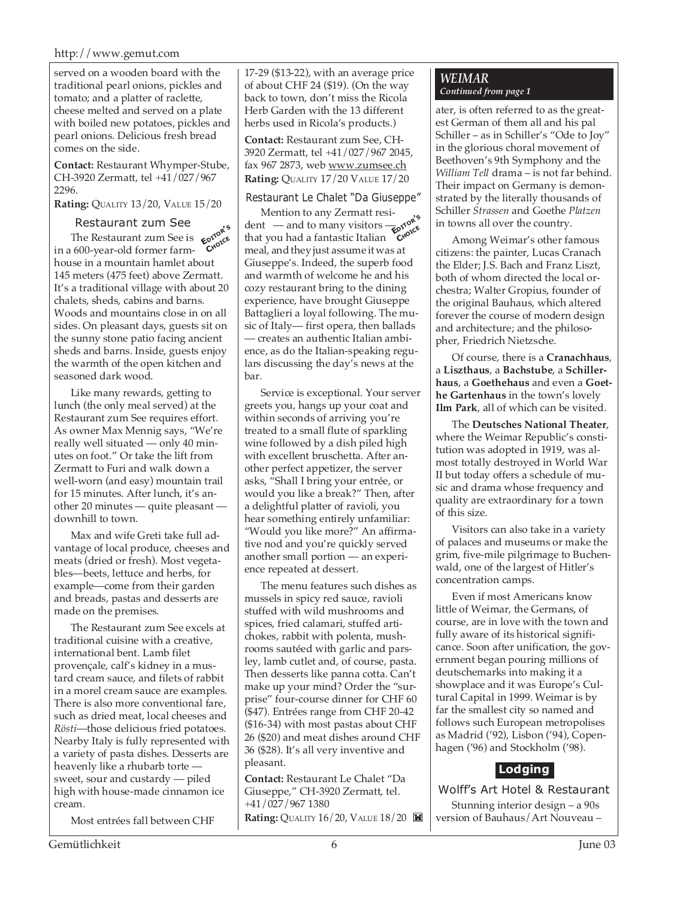#### http://www.gemut.com

served on a wooden board with the traditional pearl onions, pickles and tomato; and a platter of raclette, cheese melted and served on a plate with boiled new potatoes, pickles and pearl onions. Delicious fresh bread comes on the side.

**Contact:** Restaurant Whymper-Stube, CH-3920 Zermatt, tel +41/027/967 2296.

**Rating:** QUALITY 13/20, VALUE 15/20

### Restaurant zum See

The Restaurant zum See is  $\epsilon_{\text{opto}}^{\text{opto}}$ <br>
600-year-old former farmin a 600-year-old former farmhouse in a mountain hamlet about 145 meters (475 feet) above Zermatt. It's a traditional village with about 20 chalets, sheds, cabins and barns. Woods and mountains close in on all sides. On pleasant days, guests sit on the sunny stone patio facing ancient sheds and barns. Inside, guests enjoy the warmth of the open kitchen and seasoned dark wood.

Like many rewards, getting to lunch (the only meal served) at the Restaurant zum See requires effort. As owner Max Mennig says, "We're really well situated — only 40 minutes on foot." Or take the lift from Zermatt to Furi and walk down a well-worn (and easy) mountain trail for 15 minutes. After lunch, it's another 20 minutes — quite pleasant downhill to town.

Max and wife Greti take full advantage of local produce, cheeses and meats (dried or fresh). Most vegetables—beets, lettuce and herbs, for example—come from their garden and breads, pastas and desserts are made on the premises.

The Restaurant zum See excels at traditional cuisine with a creative, international bent. Lamb filet provençale, calf's kidney in a mustard cream sauce, and filets of rabbit in a morel cream sauce are examples. There is also more conventional fare, such as dried meat, local cheeses and *Rösti*—those delicious fried potatoes. Nearby Italy is fully represented with a variety of pasta dishes. Desserts are heavenly like a rhubarb torte sweet, sour and custardy — piled high with house-made cinnamon ice cream.

Most entrées fall between CHF

17-29 (\$13-22), with an average price of about CHF 24 (\$19). (On the way back to town, don't miss the Ricola Herb Garden with the 13 different herbs used in Ricola's products.)

**Contact:** Restaurant zum See, CH-3920 Zermatt, tel +41/027/967 2045, fax 967 2873, web www.zumsee.ch **Rating:** QUALITY 17/20 VALUE 17/20

#### Restaurant Le Chalet "Da Giuseppe"

Mention to any Zermatt resident — and to many visitors  $\frac{1}{\epsilon}$ <sub>p</sub> roke that you had a fantastic Italian **C**<sup>N</sup><sub>CO</sub><sub>LOCE</sub> meal, and they just assume it was at Giuseppe's. Indeed, the superb food and warmth of welcome he and his cozy restaurant bring to the dining experience, have brought Giuseppe Battaglieri a loyal following. The music of Italy— first opera, then ballads — creates an authentic Italian ambience, as do the Italian-speaking regulars discussing the day's news at the bar.

Service is exceptional. Your server greets you, hangs up your coat and within seconds of arriving you're treated to a small flute of sparkling wine followed by a dish piled high with excellent bruschetta. After another perfect appetizer, the server asks, "Shall I bring your entrée, or would you like a break?" Then, after a delightful platter of ravioli, you hear something entirely unfamiliar: "Would you like more?" An affirmative nod and you're quickly served another small portion — an experience repeated at dessert.

The menu features such dishes as mussels in spicy red sauce, ravioli stuffed with wild mushrooms and spices, fried calamari, stuffed artichokes, rabbit with polenta, mushrooms sautéed with garlic and parsley, lamb cutlet and, of course, pasta. Then desserts like panna cotta. Can't make up your mind? Order the "surprise" four-course dinner for CHF 60 (\$47). Entrées range from CHF 20-42 (\$16-34) with most pastas about CHF 26 (\$20) and meat dishes around CHF 36 (\$28). It's all very inventive and pleasant.

**Contact:** Restaurant Le Chalet "Da Giuseppe," CH-3920 Zermatt, tel. +41/027/967 1380 **Rating: QUALITY 16/20, VALUE 18/20** 

# *WEIMAR Continued from page 1*

ater, is often referred to as the greatest German of them all and his pal Schiller – as in Schiller's "Ode to Joy" in the glorious choral movement of Beethoven's 9th Symphony and the *William Tell* drama – is not far behind. Their impact on Germany is demonstrated by the literally thousands of Schiller *Strassen* and Goethe *Platzen*

Among Weimar's other famous citizens: the painter, Lucas Cranach the Elder; J.S. Bach and Franz Liszt, both of whom directed the local orchestra; Walter Gropius, founder of the original Bauhaus, which altered forever the course of modern design and architecture; and the philosopher, Friedrich Nietzsche.

in towns all over the country.

Of course, there is a **Cranachhaus**, a **Liszthaus**, a **Bachstube**, a **Schillerhaus**, a **Goethehaus** and even a **Goethe Gartenhaus** in the town's lovely **Ilm Park**, all of which can be visited.

The **Deutsches National Theater**, where the Weimar Republic's constitution was adopted in 1919, was almost totally destroyed in World War II but today offers a schedule of music and drama whose frequency and quality are extraordinary for a town of this size.

Visitors can also take in a variety of palaces and museums or make the grim, five-mile pilgrimage to Buchenwald, one of the largest of Hitler's concentration camps.

Even if most Americans know little of Weimar, the Germans, of course, are in love with the town and fully aware of its historical significance. Soon after unification, the government began pouring millions of deutschemarks into making it a showplace and it was Europe's Cultural Capital in 1999. Weimar is by far the smallest city so named and follows such European metropolises as Madrid ('92), Lisbon ('94), Copenhagen ('96) and Stockholm ('98).

# **Lodging**

Wolff's Art Hotel & Restaurant Stunning interior design – a 90s version of Bauhaus/Art Nouveau –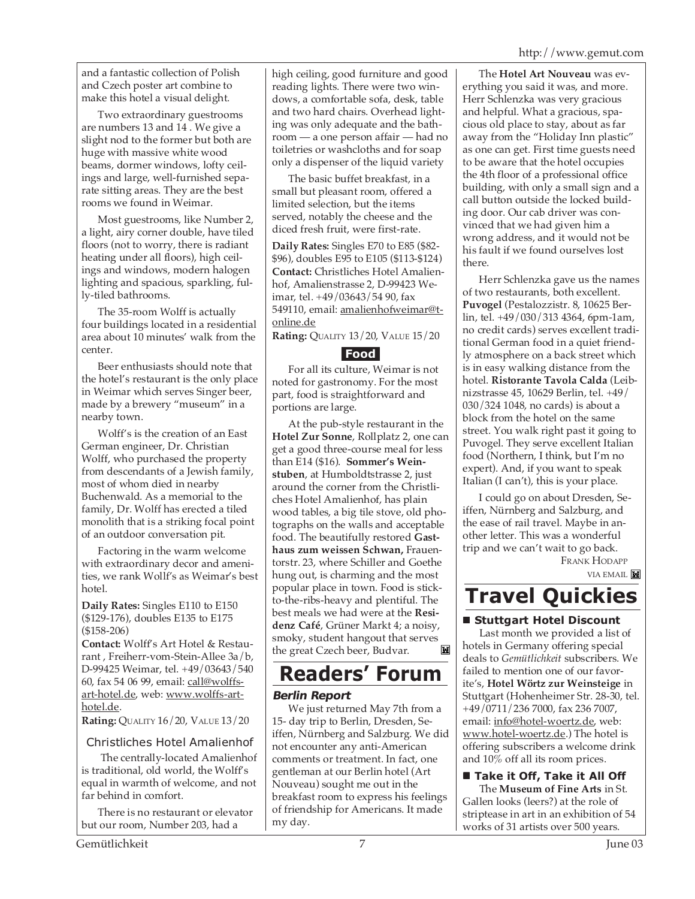and a fantastic collection of Polish and Czech poster art combine to make this hotel a visual delight.

Two extraordinary guestrooms are numbers 13 and 14 . We give a slight nod to the former but both are huge with massive white wood beams, dormer windows, lofty ceilings and large, well-furnished separate sitting areas. They are the best rooms we found in Weimar.

Most guestrooms, like Number 2, a light, airy corner double, have tiled floors (not to worry, there is radiant heating under all floors), high ceilings and windows, modern halogen lighting and spacious, sparkling, fully-tiled bathrooms.

The 35-room Wolff is actually four buildings located in a residential area about  $10$  minutes' walk from the center.

Beer enthusiasts should note that the hotel's restaurant is the only place in Weimar which serves Singer beer, made by a brewery "museum" in a nearby town.

Wolff's is the creation of an East German engineer, Dr. Christian Wolff, who purchased the property from descendants of a Jewish family, most of whom died in nearby Buchenwald. As a memorial to the family, Dr. Wolff has erected a tiled monolith that is a striking focal point of an outdoor conversation pit.

Factoring in the warm welcome with extraordinary decor and amenities, we rank Wollf's as Weimar's best hotel.

**Daily Rates:** Singles E110 to E150 (\$129-176), doubles E135 to E175 (\$158-206)

**Contact:** Wolff's Art Hotel & Restaurant , Freiherr-vom-Stein-Allee 3a/b, D-99425 Weimar, tel. +49/03643/540 60, fax 54 06 99, email: call@wolffsart-hotel.de, web: www.wolffs-arthotel.de.

**Rating:** QUALITY 16/20, VALUE 13/20

# Christliches Hotel Amalienhof

 The centrally-located Amalienhof is traditional, old world, the Wolff's equal in warmth of welcome, and not far behind in comfort.

There is no restaurant or elevator but our room, Number 203, had a

high ceiling, good furniture and good reading lights. There were two windows, a comfortable sofa, desk, table and two hard chairs. Overhead lighting was only adequate and the bathroom — a one person affair — had no toiletries or washcloths and for soap only a dispenser of the liquid variety

The basic buffet breakfast, in a small but pleasant room, offered a limited selection, but the items served, notably the cheese and the diced fresh fruit, were first-rate.

**Daily Rates:** Singles E70 to E85 (\$82- \$96), doubles E95 to E105 (\$113-\$124) **Contact:** Christliches Hotel Amalienhof, Amalienstrasse 2, D-99423 Weimar, tel. +49/03643/54 90, fax 549110, email: amalienhofweimar@tonline.de

**Rating:** QUALITY 13/20, VALUE 15/20

# **Food**

For all its culture, Weimar is not noted for gastronomy. For the most part, food is straightforward and portions are large.

At the pub-style restaurant in the **Hotel Zur Sonne**, Rollplatz 2, one can get a good three-course meal for less than E14 (\$16). **Sommer's Weinstuben**, at Humboldtstrasse 2, just around the corner from the Christliches Hotel Amalienhof, has plain wood tables, a big tile stove, old photographs on the walls and acceptable food. The beautifully restored **Gasthaus zum weissen Schwan,** Frauentorstr. 23, where Schiller and Goethe hung out, is charming and the most popular place in town. Food is stickto-the-ribs-heavy and plentiful. The best meals we had were at the **Residenz Café**, Grüner Markt 4; a noisy, smoky, student hangout that serves<br>the great Czech beer. Budvar. the great Czech beer, Budvar.

# **Readers' Forum**

# **Berlin Report**

We just returned May 7th from a 15- day trip to Berlin, Dresden, Seiffen, Nürnberg and Salzburg. We did not encounter any anti-American comments or treatment. In fact, one gentleman at our Berlin hotel (Art Nouveau) sought me out in the breakfast room to express his feelings of friendship for Americans. It made my day.

The **Hotel Art Nouveau** was everything you said it was, and more. Herr Schlenzka was very gracious and helpful. What a gracious, spacious old place to stay, about as far away from the "Holiday Inn plastic" as one can get. First time guests need to be aware that the hotel occupies the 4th floor of a professional office building, with only a small sign and a call button outside the locked building door. Our cab driver was convinced that we had given him a wrong address, and it would not be his fault if we found ourselves lost there.

Herr Schlenzka gave us the names of two restaurants, both excellent. **Puvogel** (Pestalozzistr. 8, 10625 Berlin, tel. +49/030/313 4364, 6pm-1am, no credit cards) serves excellent traditional German food in a quiet friendly atmosphere on a back street which is in easy walking distance from the hotel. **Ristorante Tavola Calda** (Leibnizstrasse 45, 10629 Berlin, tel. +49/ 030/324 1048, no cards) is about a block from the hotel on the same street. You walk right past it going to Puvogel. They serve excellent Italian food (Northern, I think, but I'm no expert). And, if you want to speak Italian (I can't), this is your place.

I could go on about Dresden, Seiffen, Nürnberg and Salzburg, and the ease of rail travel. Maybe in another letter. This was a wonderful trip and we can't wait to go back.

FRANK HODAPP VIA EMAIL

# **Travel Quickies**

# **Stuttgart Hotel Discount**

Last month we provided a list of hotels in Germany offering special deals to *Gemütlichkeit* subscribers. We failed to mention one of our favorite's, **Hotel Wörtz zur Weinsteige** in Stuttgart (Hohenheimer Str. 28-30, tel. +49/0711/236 7000, fax 236 7007, email: info@hotel-woertz.de, web: www.hotel-woertz.de.) The hotel is offering subscribers a welcome drink and 10% off all its room prices.

 **Take it Off, Take it All Off** The **Museum of Fine Arts** in St. Gallen looks (leers?) at the role of striptease in art in an exhibition of 54 works of 31 artists over 500 years.